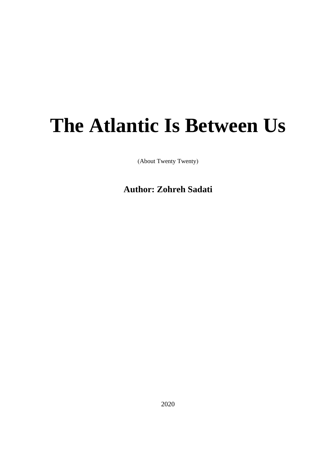## **The Atlantic Is Between Us**

(About Twenty Twenty)

**Author: Zohreh Sadati**

2020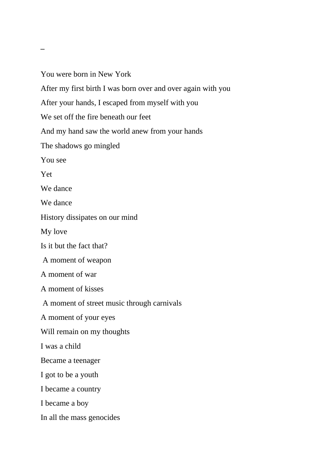You were born in New York After my first birth I was born over and over again with you After your hands, I escaped from myself with you We set off the fire beneath our feet And my hand saw the world anew from your hands The shadows go mingled You see Yet We dance We dance History dissipates on our mind My love Is it but the fact that? A moment of weapon A moment of war A moment of kisses A moment of street music through carnivals A moment of your eyes Will remain on my thoughts I was a child Became a teenager I got to be a youth I became a country I became a boy In all the mass genocides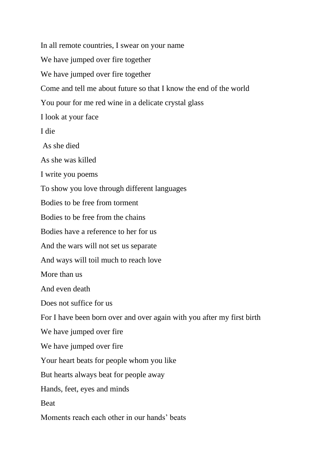In all remote countries, I swear on your name We have jumped over fire together We have jumped over fire together Come and tell me about future so that I know the end of the world You pour for me red wine in a delicate crystal glass I look at your face I die As she died As she was killed I write you poems To show you love through different languages Bodies to be free from torment Bodies to be free from the chains Bodies have a reference to her for us And the wars will not set us separate And ways will toil much to reach love More than us And even death Does not suffice for us For I have been born over and over again with you after my first birth We have jumped over fire We have jumped over fire Your heart beats for people whom you like But hearts always beat for people away Hands, feet, eyes and minds Beat Moments reach each other in our hands' beats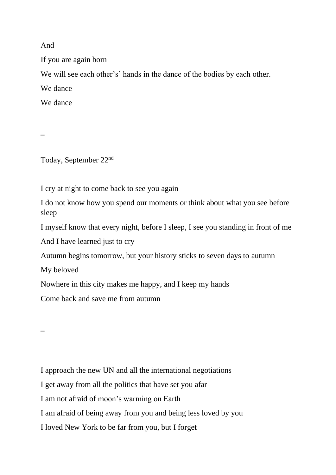And

If you are again born

We will see each other's' hands in the dance of the bodies by each other.

We dance

We dance

Today, September 22nd

I cry at night to come back to see you again

I do not know how you spend our moments or think about what you see before sleep

I myself know that every night, before I sleep, I see you standing in front of me

And I have learned just to cry

Autumn begins tomorrow, but your history sticks to seven days to autumn

My beloved

Nowhere in this city makes me happy, and I keep my hands

Come back and save me from autumn

I approach the new UN and all the international negotiations

I get away from all the politics that have set you afar

I am not afraid of moon's warming on Earth

I am afraid of being away from you and being less loved by you

I loved New York to be far from you, but I forget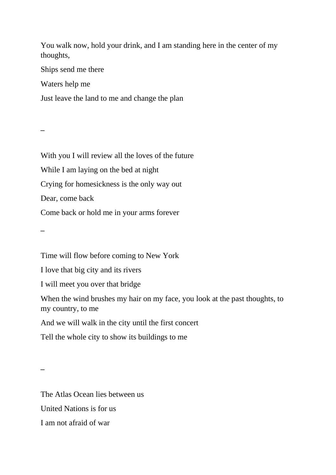You walk now, hold your drink, and I am standing here in the center of my thoughts,

Ships send me there

Waters help me

Just leave the land to me and change the plan

 **\_**

With you I will review all the loves of the future While I am laying on the bed at night Crying for homesickness is the only way out Dear, come back Come back or hold me in your arms forever

 **\_**

Time will flow before coming to New York

I love that big city and its rivers

I will meet you over that bridge

When the wind brushes my hair on my face, you look at the past thoughts, to my country, to me

And we will walk in the city until the first concert

Tell the whole city to show its buildings to me

The Atlas Ocean lies between us United Nations is for us I am not afraid of war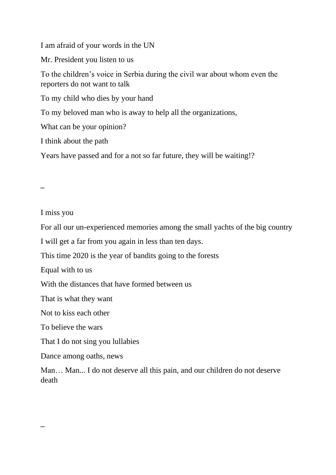I am afraid of your words in the UN

Mr. President you listen to us

To the children's voice in Serbia during the civil war about whom even the reporters do not want to talk

To my child who dies by your hand

To my beloved man who is away to help all the organizations,

What can be your opinion?

I think about the path

Years have passed and for a not so far future, they will be waiting!?

 **\_**

 **\_**

I miss you

For all our un-experienced memories among the small yachts of the big country

I will get a far from you again in less than ten days.

This time 2020 is the year of bandits going to the forests

Equal with to us

With the distances that have formed between us

That is what they want

Not to kiss each other

To believe the wars

That I do not sing you lullabies

Dance among oaths, news

Man… Man... I do not deserve all this pain, and our children do not deserve death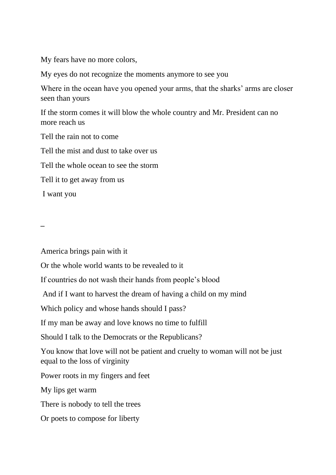My fears have no more colors,

My eyes do not recognize the moments anymore to see you

Where in the ocean have you opened your arms, that the sharks' arms are closer seen than yours

If the storm comes it will blow the whole country and Mr. President can no more reach us

Tell the rain not to come

Tell the mist and dust to take over us

Tell the whole ocean to see the storm

Tell it to get away from us

I want you

 **\_**

America brings pain with it

Or the whole world wants to be revealed to it

If countries do not wash their hands from people's blood

And if I want to harvest the dream of having a child on my mind

Which policy and whose hands should I pass?

If my man be away and love knows no time to fulfill

Should I talk to the Democrats or the Republicans?

You know that love will not be patient and cruelty to woman will not be just equal to the loss of virginity

Power roots in my fingers and feet

My lips get warm

There is nobody to tell the trees

Or poets to compose for liberty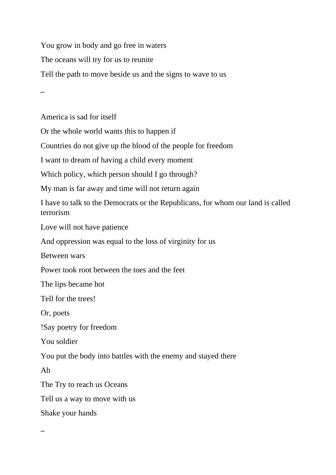You grow in body and go free in waters The oceans will try for us to reunite Tell the path to move beside us and the signs to wave to us

 **\_**

America is sad for itself

Or the whole world wants this to happen if

Countries do not give up the blood of the people for freedom

I want to dream of having a child every moment

Which policy, which person should I go through?

My man is far away and time will not return again

I have to talk to the Democrats or the Republicans, for whom our land is called terrorism

Love will not have patience

And oppression was equal to the loss of virginity for us

Between wars

Power took root between the toes and the feet

The lips became hot

Tell for the trees!

Or, poets

!Say poetry for freedom

You soldier

You put the body into battles with the enemy and stayed there

Ah

The Try to reach us Oceans

Tell us a way to move with us

Shake your hands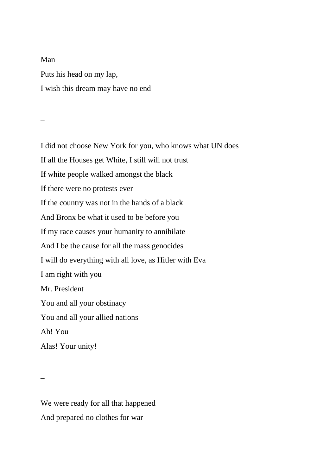Man Puts his head on my lap, I wish this dream may have no end

 **\_**

I did not choose New York for you, who knows what UN does If all the Houses get White, I still will not trust If white people walked amongst the black If there were no protests ever If the country was not in the hands of a black And Bronx be what it used to be before you If my race causes your humanity to annihilate And I be the cause for all the mass genocides I will do everything with all love, as Hitler with Eva I am right with you Mr. President You and all your obstinacy You and all your allied nations Ah! You Alas! Your unity!

We were ready for all that happened And prepared no clothes for war